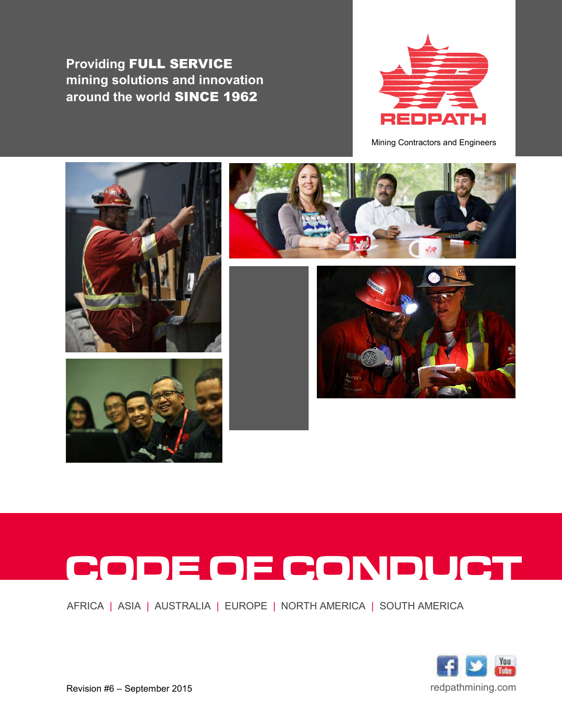**Providing** FULL SERVICE **mining solutions and innovation around the world** SINCE 1962



Mining Contractors and Engineers









# CODE OF CONDUCT

AFRICA | ASIA | AUSTRALIA | EUROPE | NORTH AMERICA | SOUTH AMERICA



Revision #6 – September 2015 **Revision #6 – September 2015** redpathmining.com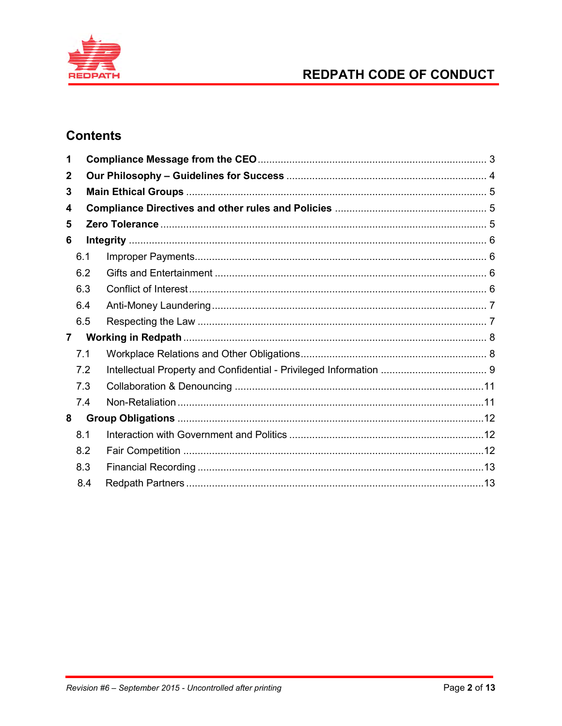

# REDPATH CODE OF CONDUCT

# **Contents**

| 1              |     |  |  |
|----------------|-----|--|--|
| $\mathbf 2$    |     |  |  |
| 3              |     |  |  |
| 4              |     |  |  |
| 5              |     |  |  |
| 6              |     |  |  |
|                | 6.1 |  |  |
|                | 6.2 |  |  |
|                | 6.3 |  |  |
|                | 6.4 |  |  |
|                | 6.5 |  |  |
| $\overline{7}$ |     |  |  |
|                | 7.1 |  |  |
|                | 7.2 |  |  |
|                | 7.3 |  |  |
|                | 7.4 |  |  |
| 8              |     |  |  |
|                | 8.1 |  |  |
|                | 8.2 |  |  |
|                | 8.3 |  |  |
|                | 8.4 |  |  |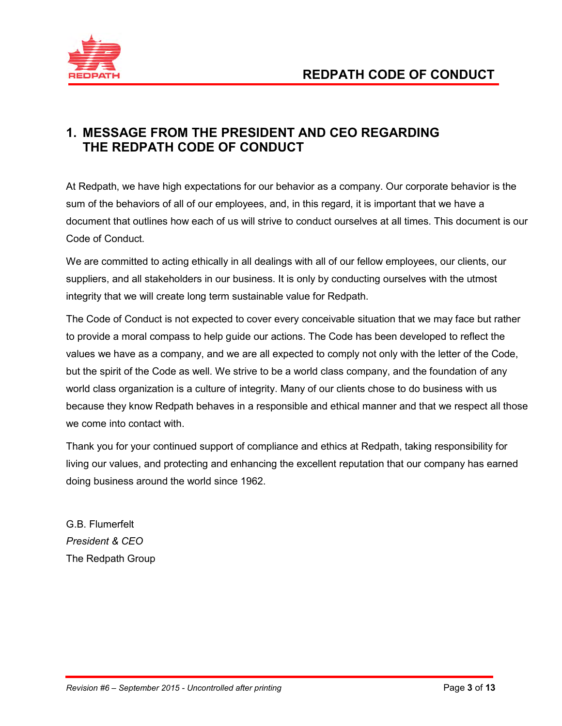

# **1. MESSAGE FROM THE PRESIDENT AND CEO REGARDING THE REDPATH CODE OF CONDUCT**

At Redpath, we have high expectations for our behavior as a company. Our corporate behavior is the sum of the behaviors of all of our employees, and, in this regard, it is important that we have a document that outlines how each of us will strive to conduct ourselves at all times. This document is our Code of Conduct.

We are committed to acting ethically in all dealings with all of our fellow employees, our clients, our suppliers, and all stakeholders in our business. It is only by conducting ourselves with the utmost integrity that we will create long term sustainable value for Redpath.

The Code of Conduct is not expected to cover every conceivable situation that we may face but rather to provide a moral compass to help guide our actions. The Code has been developed to reflect the values we have as a company, and we are all expected to comply not only with the letter of the Code, but the spirit of the Code as well. We strive to be a world class company, and the foundation of any world class organization is a culture of integrity. Many of our clients chose to do business with us because they know Redpath behaves in a responsible and ethical manner and that we respect all those we come into contact with.

Thank you for your continued support of compliance and ethics at Redpath, taking responsibility for living our values, and protecting and enhancing the excellent reputation that our company has earned doing business around the world since 1962.

G.B. Flumerfelt *President & CEO*  The Redpath Group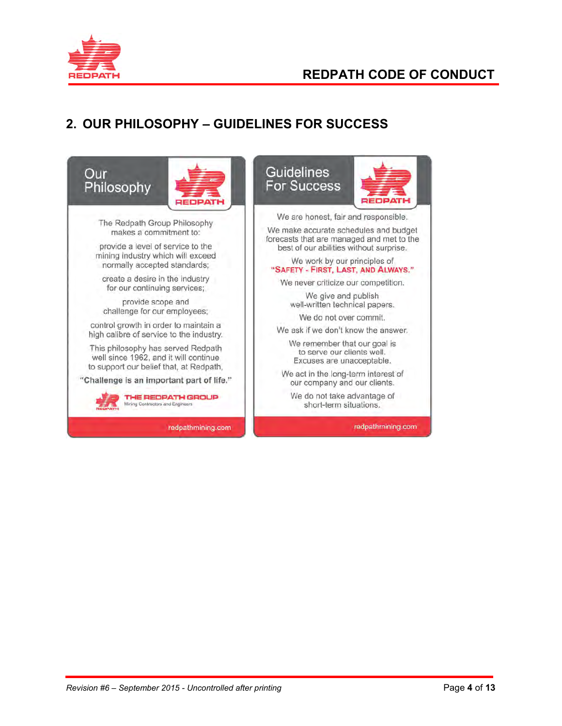

# **REDPATH CODE OF CONDUCT**

# **2. OUR PHILOSOPHY – GUIDELINES FOR SUCCESS**

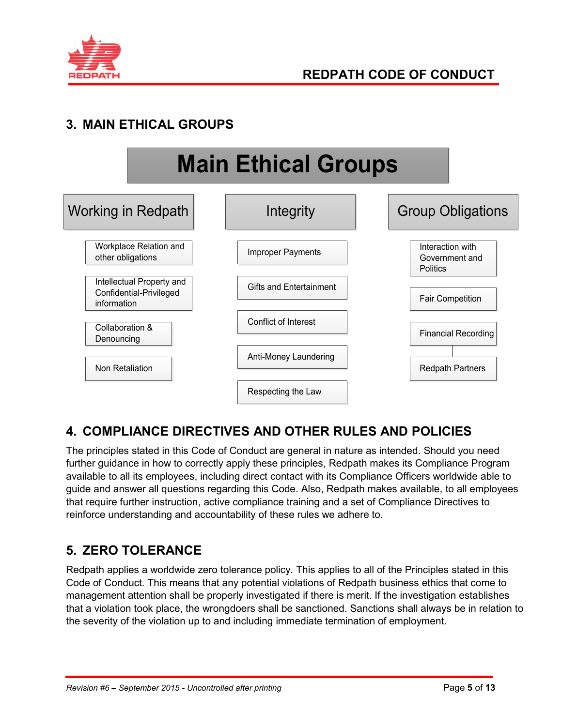

# **3. MAIN ETHICAL GROUPS**



# **4. COMPLIANCE DIRECTIVES AND OTHER RULES AND POLICIES**

The principles stated in this Code of Conduct are general in nature as intended. Should you need further guidance in how to correctly apply these principles, Redpath makes its Compliance Program available to all its employees, including direct contact with its Compliance Officers worldwide able to guide and answer all questions regarding this Code. Also, Redpath makes available, to all employees that require further instruction, active compliance training and a set of Compliance Directives to reinforce understanding and accountability of these rules we adhere to.

# **5. ZERO TOLERANCE**

Redpath applies a worldwide zero tolerance policy. This applies to all of the Principles stated in this Code of Conduct. This means that any potential violations of Redpath business ethics that come to management attention shall be properly investigated if there is merit. If the investigation establishes that a violation took place, the wrongdoers shall be sanctioned. Sanctions shall always be in relation to the severity of the violation up to and including immediate termination of employment.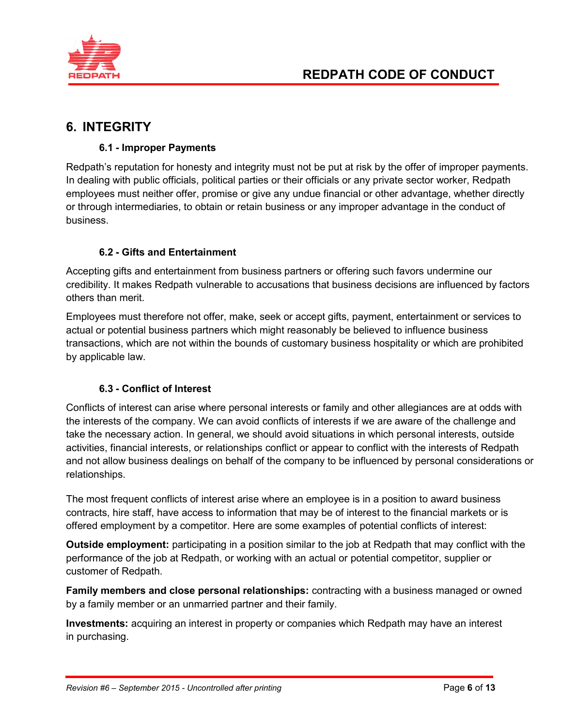

# **6. INTEGRITY**

## **6.1 - Improper Payments**

Redpath's reputation for honesty and integrity must not be put at risk by the offer of improper payments. In dealing with public officials, political parties or their officials or any private sector worker, Redpath employees must neither offer, promise or give any undue financial or other advantage, whether directly or through intermediaries, to obtain or retain business or any improper advantage in the conduct of business.

## **6.2 - Gifts and Entertainment**

Accepting gifts and entertainment from business partners or offering such favors undermine our credibility. It makes Redpath vulnerable to accusations that business decisions are influenced by factors others than merit.

Employees must therefore not offer, make, seek or accept gifts, payment, entertainment or services to actual or potential business partners which might reasonably be believed to influence business transactions, which are not within the bounds of customary business hospitality or which are prohibited by applicable law.

## **6.3 - Conflict of Interest**

Conflicts of interest can arise where personal interests or family and other allegiances are at odds with the interests of the company. We can avoid conflicts of interests if we are aware of the challenge and take the necessary action. In general, we should avoid situations in which personal interests, outside activities, financial interests, or relationships conflict or appear to conflict with the interests of Redpath and not allow business dealings on behalf of the company to be influenced by personal considerations or relationships.

The most frequent conflicts of interest arise where an employee is in a position to award business contracts, hire staff, have access to information that may be of interest to the financial markets or is offered employment by a competitor. Here are some examples of potential conflicts of interest:

**Outside employment:** participating in a position similar to the job at Redpath that may conflict with the performance of the job at Redpath, or working with an actual or potential competitor, supplier or customer of Redpath.

**Family members and close personal relationships:** contracting with a business managed or owned by a family member or an unmarried partner and their family.

**Investments:** acquiring an interest in property or companies which Redpath may have an interest in purchasing.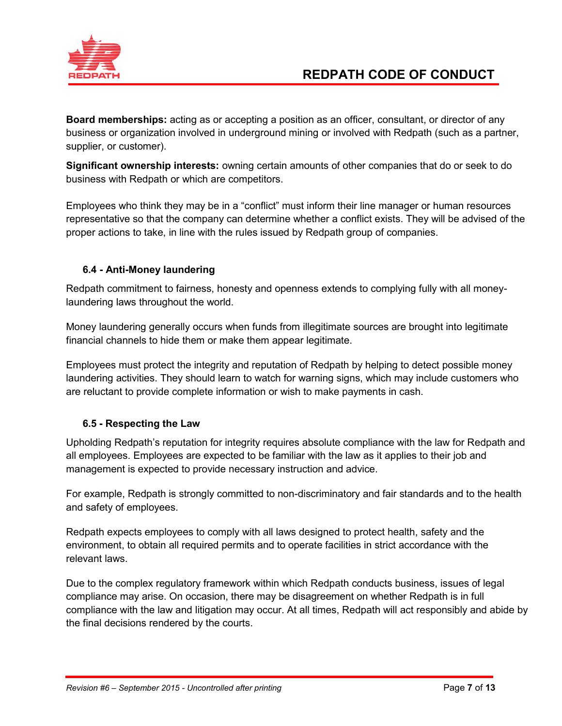

**Board memberships:** acting as or accepting a position as an officer, consultant, or director of any business or organization involved in underground mining or involved with Redpath (such as a partner, supplier, or customer).

**Significant ownership interests:** owning certain amounts of other companies that do or seek to do business with Redpath or which are competitors.

Employees who think they may be in a "conflict" must inform their line manager or human resources representative so that the company can determine whether a conflict exists. They will be advised of the proper actions to take, in line with the rules issued by Redpath group of companies.

## **6.4 - Anti-Money laundering**

Redpath commitment to fairness, honesty and openness extends to complying fully with all moneylaundering laws throughout the world.

Money laundering generally occurs when funds from illegitimate sources are brought into legitimate financial channels to hide them or make them appear legitimate.

Employees must protect the integrity and reputation of Redpath by helping to detect possible money laundering activities. They should learn to watch for warning signs, which may include customers who are reluctant to provide complete information or wish to make payments in cash.

## **6.5 - Respecting the Law**

Upholding Redpath's reputation for integrity requires absolute compliance with the law for Redpath and all employees. Employees are expected to be familiar with the law as it applies to their job and management is expected to provide necessary instruction and advice.

For example, Redpath is strongly committed to non-discriminatory and fair standards and to the health and safety of employees.

Redpath expects employees to comply with all laws designed to protect health, safety and the environment, to obtain all required permits and to operate facilities in strict accordance with the relevant laws.

Due to the complex regulatory framework within which Redpath conducts business, issues of legal compliance may arise. On occasion, there may be disagreement on whether Redpath is in full compliance with the law and litigation may occur. At all times, Redpath will act responsibly and abide by the final decisions rendered by the courts.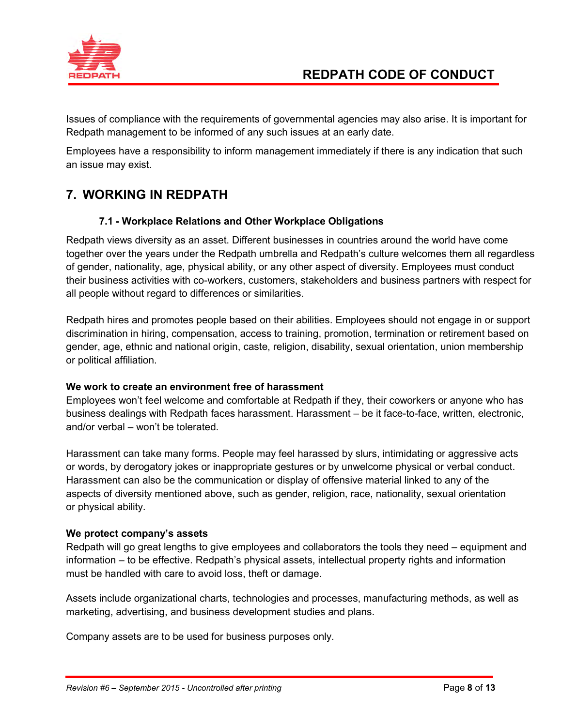

# **REDPATH CODE OF CONDUCT**

Issues of compliance with the requirements of governmental agencies may also arise. It is important for Redpath management to be informed of any such issues at an early date.

Employees have a responsibility to inform management immediately if there is any indication that such an issue may exist.

# **7. WORKING IN REDPATH**

#### **7.1 - Workplace Relations and Other Workplace Obligations**

Redpath views diversity as an asset. Different businesses in countries around the world have come together over the years under the Redpath umbrella and Redpath's culture welcomes them all regardless of gender, nationality, age, physical ability, or any other aspect of diversity. Employees must conduct their business activities with co-workers, customers, stakeholders and business partners with respect for all people without regard to differences or similarities.

Redpath hires and promotes people based on their abilities. Employees should not engage in or support discrimination in hiring, compensation, access to training, promotion, termination or retirement based on gender, age, ethnic and national origin, caste, religion, disability, sexual orientation, union membership or political affiliation.

#### **We work to create an environment free of harassment**

Employees won't feel welcome and comfortable at Redpath if they, their coworkers or anyone who has business dealings with Redpath faces harassment. Harassment – be it face-to-face, written, electronic, and/or verbal – won't be tolerated.

Harassment can take many forms. People may feel harassed by slurs, intimidating or aggressive acts or words, by derogatory jokes or inappropriate gestures or by unwelcome physical or verbal conduct. Harassment can also be the communication or display of offensive material linked to any of the aspects of diversity mentioned above, such as gender, religion, race, nationality, sexual orientation or physical ability.

#### **We protect company's assets**

Redpath will go great lengths to give employees and collaborators the tools they need – equipment and information – to be effective. Redpath's physical assets, intellectual property rights and information must be handled with care to avoid loss, theft or damage.

Assets include organizational charts, technologies and processes, manufacturing methods, as well as marketing, advertising, and business development studies and plans.

Company assets are to be used for business purposes only.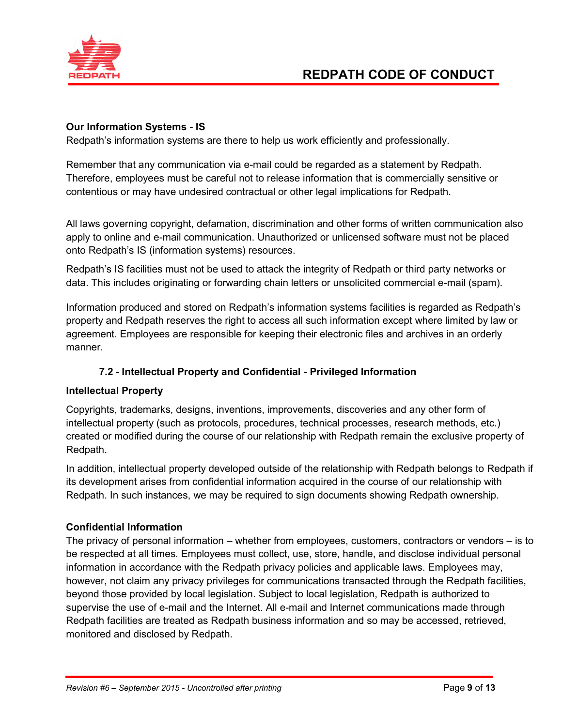

#### **Our Information Systems - IS**

Redpath's information systems are there to help us work efficiently and professionally.

Remember that any communication via e-mail could be regarded as a statement by Redpath. Therefore, employees must be careful not to release information that is commercially sensitive or contentious or may have undesired contractual or other legal implications for Redpath.

All laws governing copyright, defamation, discrimination and other forms of written communication also apply to online and e-mail communication. Unauthorized or unlicensed software must not be placed onto Redpath's IS (information systems) resources.

Redpath's IS facilities must not be used to attack the integrity of Redpath or third party networks or data. This includes originating or forwarding chain letters or unsolicited commercial e-mail (spam).

Information produced and stored on Redpath's information systems facilities is regarded as Redpath's property and Redpath reserves the right to access all such information except where limited by law or agreement. Employees are responsible for keeping their electronic files and archives in an orderly manner.

## **7.2 - Intellectual Property and Confidential - Privileged Information**

#### **Intellectual Property**

Copyrights, trademarks, designs, inventions, improvements, discoveries and any other form of intellectual property (such as protocols, procedures, technical processes, research methods, etc.) created or modified during the course of our relationship with Redpath remain the exclusive property of Redpath.

In addition, intellectual property developed outside of the relationship with Redpath belongs to Redpath if its development arises from confidential information acquired in the course of our relationship with Redpath. In such instances, we may be required to sign documents showing Redpath ownership.

#### **Confidential Information**

The privacy of personal information – whether from employees, customers, contractors or vendors – is to be respected at all times. Employees must collect, use, store, handle, and disclose individual personal information in accordance with the Redpath privacy policies and applicable laws. Employees may, however, not claim any privacy privileges for communications transacted through the Redpath facilities, beyond those provided by local legislation. Subject to local legislation, Redpath is authorized to supervise the use of e-mail and the Internet. All e-mail and Internet communications made through Redpath facilities are treated as Redpath business information and so may be accessed, retrieved, monitored and disclosed by Redpath.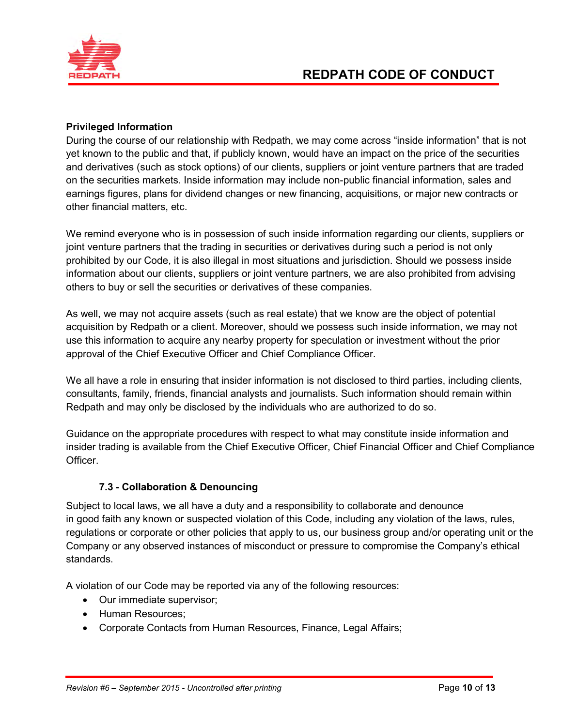

#### **Privileged Information**

During the course of our relationship with Redpath, we may come across "inside information" that is not yet known to the public and that, if publicly known, would have an impact on the price of the securities and derivatives (such as stock options) of our clients, suppliers or joint venture partners that are traded on the securities markets. Inside information may include non-public financial information, sales and earnings figures, plans for dividend changes or new financing, acquisitions, or major new contracts or other financial matters, etc.

We remind everyone who is in possession of such inside information regarding our clients, suppliers or joint venture partners that the trading in securities or derivatives during such a period is not only prohibited by our Code, it is also illegal in most situations and jurisdiction. Should we possess inside information about our clients, suppliers or joint venture partners, we are also prohibited from advising others to buy or sell the securities or derivatives of these companies.

As well, we may not acquire assets (such as real estate) that we know are the object of potential acquisition by Redpath or a client. Moreover, should we possess such inside information, we may not use this information to acquire any nearby property for speculation or investment without the prior approval of the Chief Executive Officer and Chief Compliance Officer.

We all have a role in ensuring that insider information is not disclosed to third parties, including clients, consultants, family, friends, financial analysts and journalists. Such information should remain within Redpath and may only be disclosed by the individuals who are authorized to do so.

Guidance on the appropriate procedures with respect to what may constitute inside information and insider trading is available from the Chief Executive Officer, Chief Financial Officer and Chief Compliance Officer.

## **7.3 - Collaboration & Denouncing**

Subject to local laws, we all have a duty and a responsibility to collaborate and denounce in good faith any known or suspected violation of this Code, including any violation of the laws, rules, regulations or corporate or other policies that apply to us, our business group and/or operating unit or the Company or any observed instances of misconduct or pressure to compromise the Company's ethical standards.

A violation of our Code may be reported via any of the following resources:

- Our immediate supervisor;
- Human Resources:
- Corporate Contacts from Human Resources, Finance, Legal Affairs;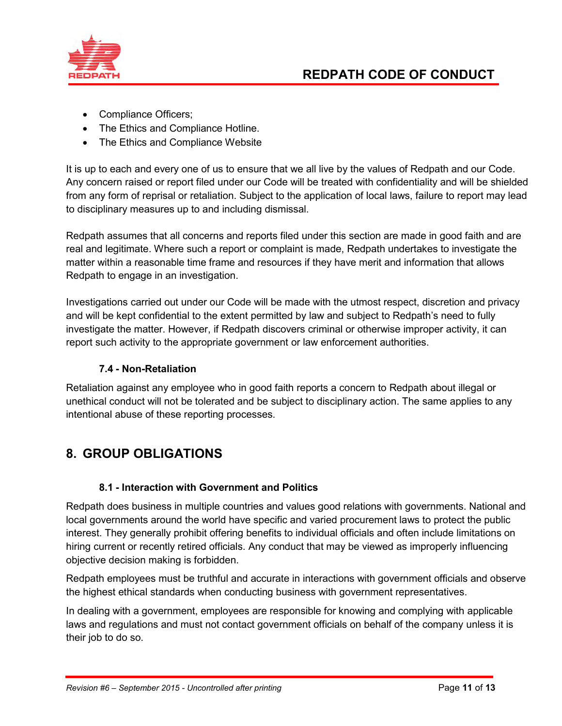

- Compliance Officers;
- The Ethics and Compliance Hotline.
- The Ethics and Compliance Website

It is up to each and every one of us to ensure that we all live by the values of Redpath and our Code. Any concern raised or report filed under our Code will be treated with confidentiality and will be shielded from any form of reprisal or retaliation. Subject to the application of local laws, failure to report may lead to disciplinary measures up to and including dismissal.

Redpath assumes that all concerns and reports filed under this section are made in good faith and are real and legitimate. Where such a report or complaint is made, Redpath undertakes to investigate the matter within a reasonable time frame and resources if they have merit and information that allows Redpath to engage in an investigation.

Investigations carried out under our Code will be made with the utmost respect, discretion and privacy and will be kept confidential to the extent permitted by law and subject to Redpath's need to fully investigate the matter. However, if Redpath discovers criminal or otherwise improper activity, it can report such activity to the appropriate government or law enforcement authorities.

## **7.4 - Non-Retaliation**

Retaliation against any employee who in good faith reports a concern to Redpath about illegal or unethical conduct will not be tolerated and be subject to disciplinary action. The same applies to any intentional abuse of these reporting processes.

# **8. GROUP OBLIGATIONS**

## **8.1 - Interaction with Government and Politics**

Redpath does business in multiple countries and values good relations with governments. National and local governments around the world have specific and varied procurement laws to protect the public interest. They generally prohibit offering benefits to individual officials and often include limitations on hiring current or recently retired officials. Any conduct that may be viewed as improperly influencing objective decision making is forbidden.

Redpath employees must be truthful and accurate in interactions with government officials and observe the highest ethical standards when conducting business with government representatives.

In dealing with a government, employees are responsible for knowing and complying with applicable laws and regulations and must not contact government officials on behalf of the company unless it is their job to do so.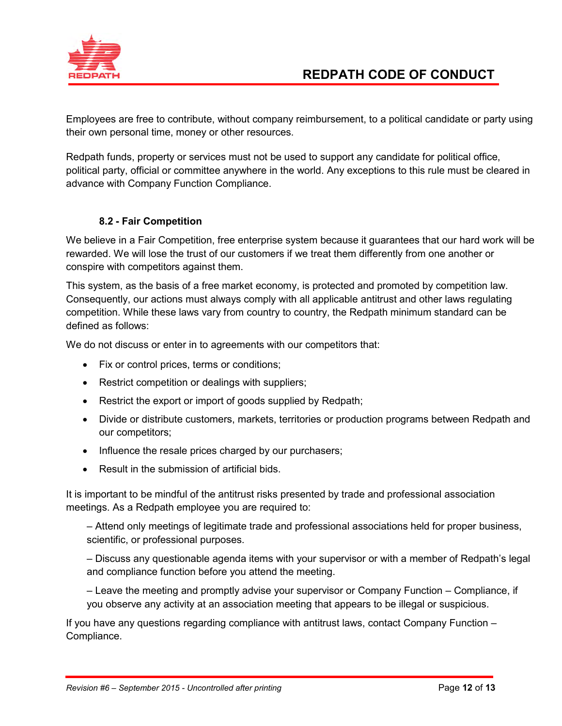

Employees are free to contribute, without company reimbursement, to a political candidate or party using their own personal time, money or other resources.

Redpath funds, property or services must not be used to support any candidate for political office, political party, official or committee anywhere in the world. Any exceptions to this rule must be cleared in advance with Company Function Compliance.

## **8.2 - Fair Competition**

We believe in a Fair Competition, free enterprise system because it guarantees that our hard work will be rewarded. We will lose the trust of our customers if we treat them differently from one another or conspire with competitors against them.

This system, as the basis of a free market economy, is protected and promoted by competition law. Consequently, our actions must always comply with all applicable antitrust and other laws regulating competition. While these laws vary from country to country, the Redpath minimum standard can be defined as follows:

We do not discuss or enter in to agreements with our competitors that:

- Fix or control prices, terms or conditions;
- Restrict competition or dealings with suppliers;
- Restrict the export or import of goods supplied by Redpath;
- Divide or distribute customers, markets, territories or production programs between Redpath and our competitors;
- Influence the resale prices charged by our purchasers;
- Result in the submission of artificial bids.

It is important to be mindful of the antitrust risks presented by trade and professional association meetings. As a Redpath employee you are required to:

– Attend only meetings of legitimate trade and professional associations held for proper business, scientific, or professional purposes.

– Discuss any questionable agenda items with your supervisor or with a member of Redpath's legal and compliance function before you attend the meeting.

– Leave the meeting and promptly advise your supervisor or Company Function – Compliance, if you observe any activity at an association meeting that appears to be illegal or suspicious.

If you have any questions regarding compliance with antitrust laws, contact Company Function – Compliance.